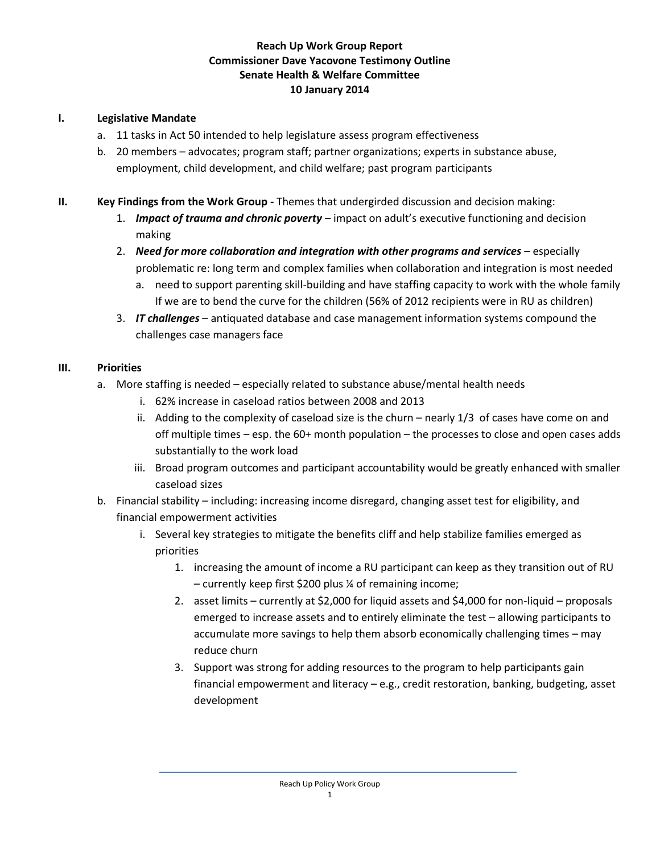## **Reach Up Work Group Report Commissioner Dave Yacovone Testimony Outline Senate Health & Welfare Committee 10 January 2014**

## **I. Legislative Mandate**

- a. 11 tasks in Act 50 intended to help legislature assess program effectiveness
- b. 20 members advocates; program staff; partner organizations; experts in substance abuse, employment, child development, and child welfare; past program participants
- **II. Key Findings from the Work Group -** Themes that undergirded discussion and decision making:
	- 1. *Impact of trauma and chronic poverty* impact on adult's executive functioning and decision making
	- 2. **Need for more collaboration and integration with other programs and services especially** problematic re: long term and complex families when collaboration and integration is most needed
		- a. need to support parenting skill-building and have staffing capacity to work with the whole family If we are to bend the curve for the children (56% of 2012 recipients were in RU as children)
	- 3. *IT challenges* antiquated database and case management information systems compound the challenges case managers face

## **III. Priorities**

- a. More staffing is needed especially related to substance abuse/mental health needs
	- i. 62% increase in caseload ratios between 2008 and 2013
	- ii. Adding to the complexity of caseload size is the churn nearly 1/3 of cases have come on and off multiple times – esp. the 60+ month population – the processes to close and open cases adds substantially to the work load
	- iii. Broad program outcomes and participant accountability would be greatly enhanced with smaller caseload sizes
- b. Financial stability including: increasing income disregard, changing asset test for eligibility, and financial empowerment activities
	- i. Several key strategies to mitigate the benefits cliff and help stabilize families emerged as priorities
		- 1. increasing the amount of income a RU participant can keep as they transition out of RU – currently keep first \$200 plus ¼ of remaining income;
		- 2. asset limits currently at \$2,000 for liquid assets and \$4,000 for non-liquid proposals emerged to increase assets and to entirely eliminate the test – allowing participants to accumulate more savings to help them absorb economically challenging times – may reduce churn
		- 3. Support was strong for adding resources to the program to help participants gain financial empowerment and literacy – e.g., credit restoration, banking, budgeting, asset development